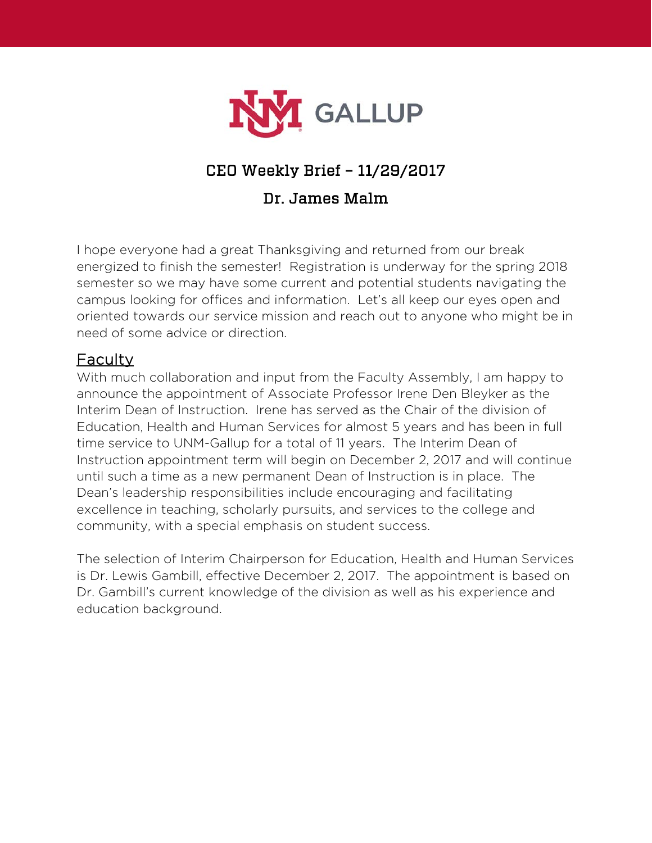

# CEO Weekly Brief – 11/29/2017

## Dr. James Malm

I hope everyone had a great Thanksgiving and returned from our break energized to finish the semester! Registration is underway for the spring 2018 semester so we may have some current and potential students navigating the campus looking for offices and information. Let's all keep our eyes open and oriented towards our service mission and reach out to anyone who might be in need of some advice or direction.

## Faculty

With much collaboration and input from the Faculty Assembly, I am happy to announce the appointment of Associate Professor Irene Den Bleyker as the Interim Dean of Instruction. Irene has served as the Chair of the division of Education, Health and Human Services for almost 5 years and has been in full time service to UNM-Gallup for a total of 11 years. The Interim Dean of Instruction appointment term will begin on December 2, 2017 and will continue until such a time as a new permanent Dean of Instruction is in place. The Dean's leadership responsibilities include encouraging and facilitating excellence in teaching, scholarly pursuits, and services to the college and community, with a special emphasis on student success.

The selection of Interim Chairperson for Education, Health and Human Services is Dr. Lewis Gambill, effective December 2, 2017. The appointment is based on Dr. Gambill's current knowledge of the division as well as his experience and education background.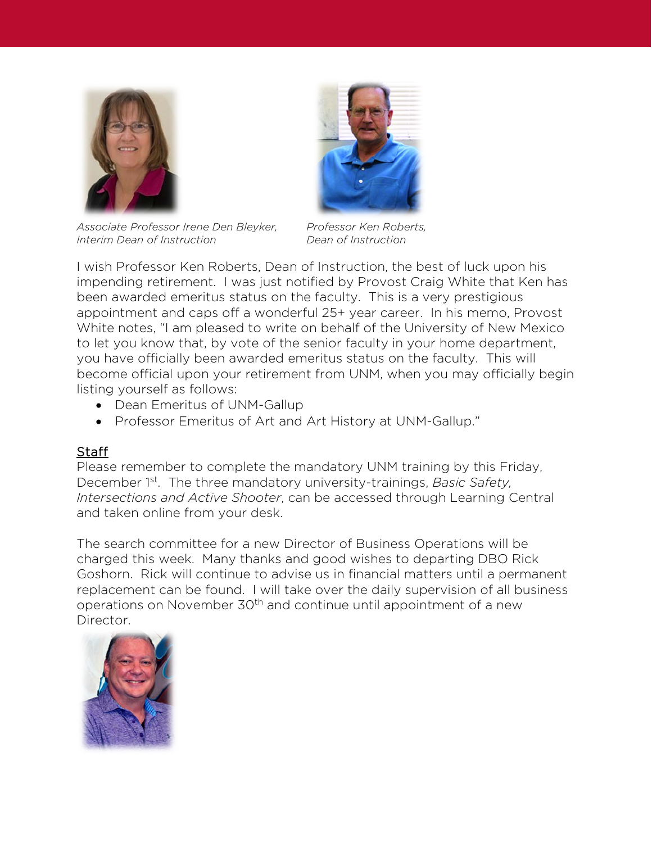





I wish Professor Ken Roberts, Dean of Instruction, the best of luck upon his impending retirement. I was just notified by Provost Craig White that Ken has been awarded emeritus status on the faculty. This is a very prestigious appointment and caps off a wonderful 25+ year career. In his memo, Provost White notes, "I am pleased to write on behalf of the University of New Mexico to let you know that, by vote of the senior faculty in your home department, you have officially been awarded emeritus status on the faculty. This will become official upon your retirement from UNM, when you may officially begin listing yourself as follows:

- Dean Emeritus of UNM-Gallup
- Professor Emeritus of Art and Art History at UNM-Gallup."

#### **Staff**

Please remember to complete the mandatory UNM training by this Friday, December 1st. The three mandatory university-trainings, *Basic Safety, Intersections and Active Shooter*, can be accessed through Learning Central and taken online from your desk.

The search committee for a new Director of Business Operations will be charged this week. Many thanks and good wishes to departing DBO Rick Goshorn. Rick will continue to advise us in financial matters until a permanent replacement can be found. I will take over the daily supervision of all business operations on November 30<sup>th</sup> and continue until appointment of a new Director.

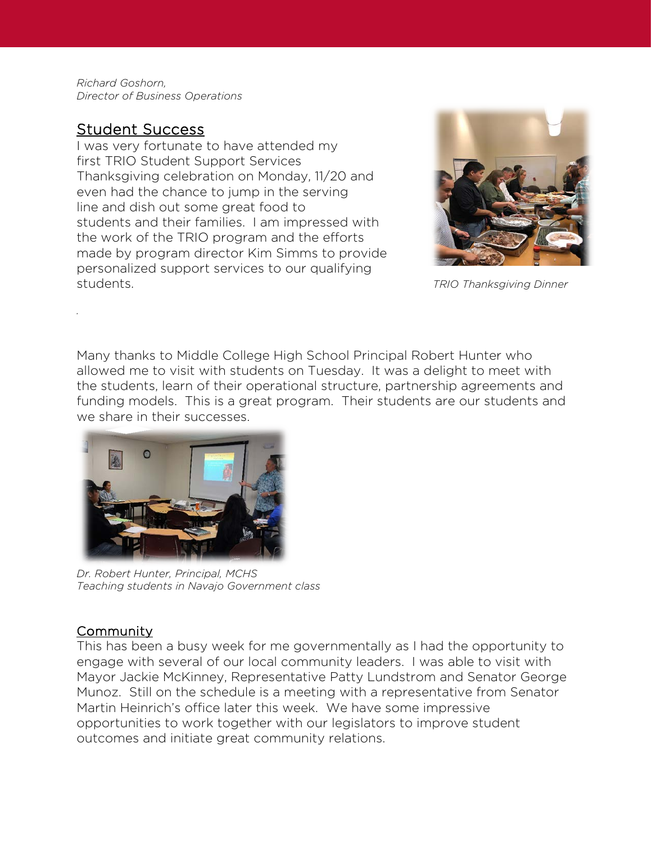*Richard Goshorn, Director of Business Operations*

### Student Success

*.* 

I was very fortunate to have attended my first TRIO Student Support Services Thanksgiving celebration on Monday, 11/20 and even had the chance to jump in the serving line and dish out some great food to students and their families. I am impressed with the work of the TRIO program and the efforts made by program director Kim Simms to provide personalized support services to our qualifying students. *TRIO Thanksgiving Dinner*



Many thanks to Middle College High School Principal Robert Hunter who allowed me to visit with students on Tuesday. It was a delight to meet with the students, learn of their operational structure, partnership agreements and funding models. This is a great program. Their students are our students and we share in their successes.



*Dr. Robert Hunter, Principal, MCHS Teaching students in Navajo Government class*

#### Community

This has been a busy week for me governmentally as I had the opportunity to engage with several of our local community leaders. I was able to visit with Mayor Jackie McKinney, Representative Patty Lundstrom and Senator George Munoz. Still on the schedule is a meeting with a representative from Senator Martin Heinrich's office later this week. We have some impressive opportunities to work together with our legislators to improve student outcomes and initiate great community relations.